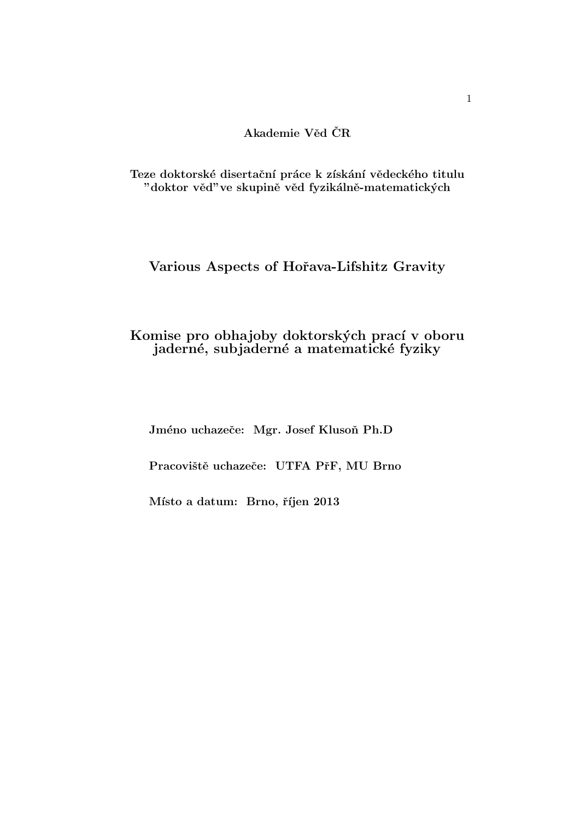**Akademie Vˇed CRˇ**

Teze doktorské disertační práce k získání vědeckého titulu "doktor věd"ve skupině věd fyzikálně-matematických

# **Various Aspects of Hoˇrava-Lifshitz Gravity**

# Komise pro obhajoby doktorských prací v oboru **jadern´e, subjadern´e a matematick´e fyziky**

Jméno uchazeče: Mgr. Josef Klusoň Ph.D

Pracoviště uchazeče: UTFA PřF, MU Brno

Místo a datum: Brno, říjen 2013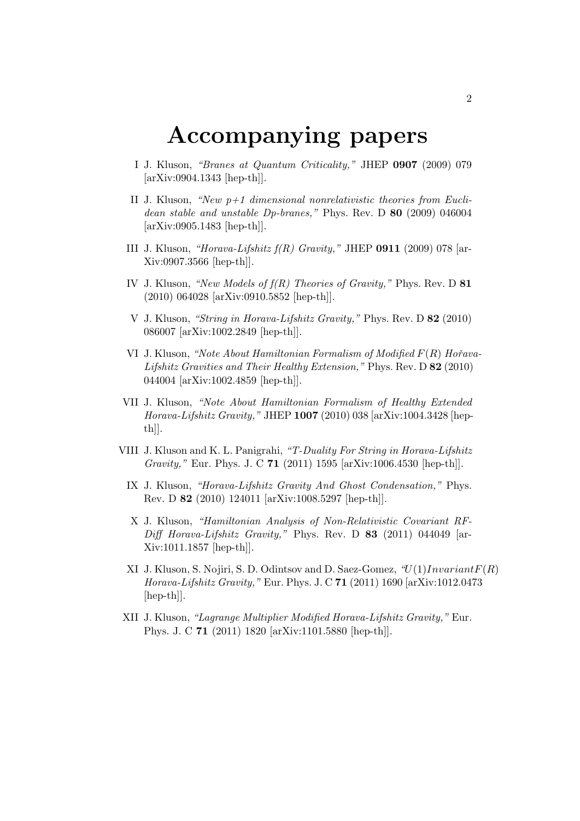# **Accompanying papers**

- I J. Kluson, *"Branes at Quantum Criticality,"* JHEP **0907** (2009) 079 [arXiv:0904.1343 [hep-th]].
- II J. Kluson, *"New p+1 dimensional nonrelativistic theories from Euclidean stable and unstable Dp-branes,"* Phys. Rev. D **80** (2009) 046004 [arXiv:0905.1483 [hep-th]].
- III J. Kluson, *"Horava-Lifshitz f(R) Gravity,"* JHEP **0911** (2009) 078 [ar-Xiv:0907.3566 [hep-th]].
- IV J. Kluson, *"New Models of f(R) Theories of Gravity,"* Phys. Rev. D **81** (2010) 064028 [arXiv:0910.5852 [hep-th]].
- V J. Kluson, *"String in Horava-Lifshitz Gravity,"* Phys. Rev. D **82** (2010) 086007 [arXiv:1002.2849 [hep-th]].
- VI J. Kluson, *"Note About Hamiltonian Formalism of Modified F*(*R*) *Hoˇrava-Lifshitz Gravities and Their Healthy Extension,"* Phys. Rev. D **82** (2010) 044004 [arXiv:1002.4859 [hep-th]].
- VII J. Kluson, *"Note About Hamiltonian Formalism of Healthy Extended Horava-Lifshitz Gravity,"* JHEP **1007** (2010) 038 [arXiv:1004.3428 [hepth]].
- VIII J. Kluson and K. L. Panigrahi, *"T-Duality For String in Horava-Lifshitz Gravity,"* Eur. Phys. J. C **71** (2011) 1595 [arXiv:1006.4530 [hep-th]].
	- IX J. Kluson, *"Horava-Lifshitz Gravity And Ghost Condensation,"* Phys. Rev. D **82** (2010) 124011 [arXiv:1008.5297 [hep-th]].
	- X J. Kluson, *"Hamiltonian Analysis of Non-Relativistic Covariant RF-Diff Horava-Lifshitz Gravity,"* Phys. Rev. D **83** (2011) 044049 [ar-Xiv:1011.1857 [hep-th]].
	- XI J. Kluson, S. Nojiri, S. D. Odintsov and D. Saez-Gomez, *"U*(1)*InvariantF*(*R*) *Horava-Lifshitz Gravity,"* Eur. Phys. J. C **71** (2011) 1690 [arXiv:1012.0473 [hep-th]].
- XII J. Kluson, *"Lagrange Multiplier Modified Horava-Lifshitz Gravity,"* Eur. Phys. J. C **71** (2011) 1820 [arXiv:1101.5880 [hep-th]].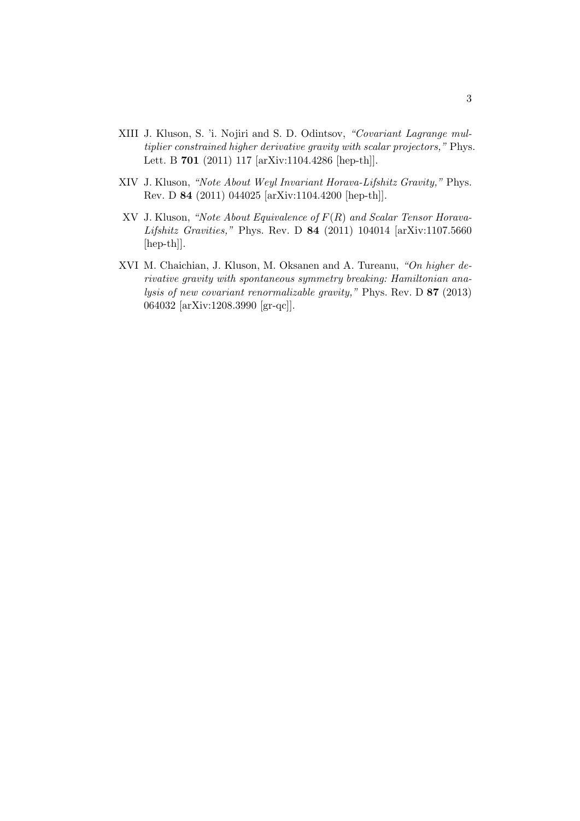- XIII J. Kluson, S. 'i. Nojiri and S. D. Odintsov, *"Covariant Lagrange multiplier constrained higher derivative gravity with scalar projectors,"* Phys. Lett. B **701** (2011) 117 [arXiv:1104.4286 [hep-th]].
- XIV J. Kluson, *"Note About Weyl Invariant Horava-Lifshitz Gravity,"* Phys. Rev. D **84** (2011) 044025 [arXiv:1104.4200 [hep-th]].
- XV J. Kluson, *"Note About Equivalence of F*(*R*) *and Scalar Tensor Horava-Lifshitz Gravities,"* Phys. Rev. D **84** (2011) 104014 [arXiv:1107.5660 [hep-th]].
- XVI M. Chaichian, J. Kluson, M. Oksanen and A. Tureanu, *"On higher derivative gravity with spontaneous symmetry breaking: Hamiltonian analysis of new covariant renormalizable gravity,"* Phys. Rev. D **87** (2013) 064032 [arXiv:1208.3990 [gr-qc]].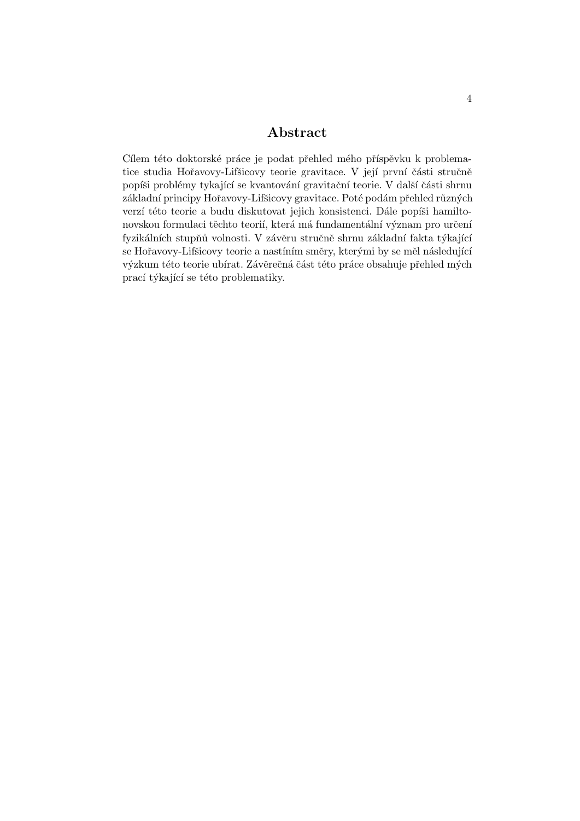# **Abstract**

Cílem této doktorské práce je podat přehled mého příspěvku k problematice studia Hořavovy-Lifšicovy teorie gravitace. V její první části stručně popíši problémy tykající se kvantování gravitační teorie. V další části shrnu základní principy Hořavovy-Lifšicovy gravitace. Poté podám přehled různých verzí této teorie a budu diskutovat jejich konsistenci. Dále popíši hamiltonovskou formulaci těchto teorií, která má fundamentální význam pro určení fyzikálních stupňů volnosti. V závěru stručně shrnu základní fakta týkající se Hořavovy-Lifšicovy teorie a nastíním směry, kterými by se měl následující výzkum této teorie ubírat. Závěrečná část této práce obsahuje přehled mých prací týkající se této problematiky.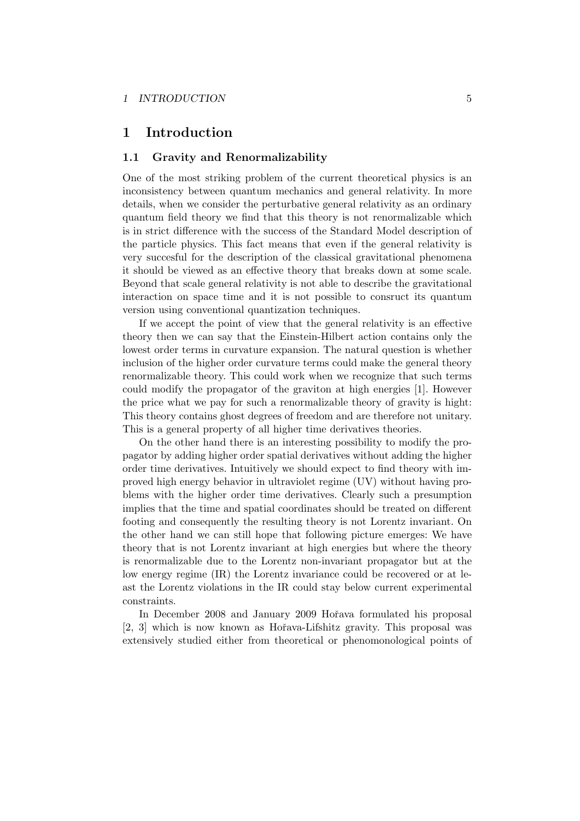# **1 Introduction**

#### **1.1 Gravity and Renormalizability**

One of the most striking problem of the current theoretical physics is an inconsistency between quantum mechanics and general relativity. In more details, when we consider the perturbative general relativity as an ordinary quantum field theory we find that this theory is not renormalizable which is in strict difference with the success of the Standard Model description of the particle physics. This fact means that even if the general relativity is very succesful for the description of the classical gravitational phenomena it should be viewed as an effective theory that breaks down at some scale. Beyond that scale general relativity is not able to describe the gravitational interaction on space time and it is not possible to consruct its quantum version using conventional quantization techniques.

If we accept the point of view that the general relativity is an effective theory then we can say that the Einstein-Hilbert action contains only the lowest order terms in curvature expansion. The natural question is whether inclusion of the higher order curvature terms could make the general theory renormalizable theory. This could work when we recognize that such terms could modify the propagator of the graviton at high energies [1]. However the price what we pay for such a renormalizable theory of gravity is hight: This theory contains ghost degrees of freedom and are therefore not unitary. This is a general property of all higher time derivatives theories.

On the other hand there is an interesting possibility to modify the propagator by adding higher order spatial derivatives without adding the higher order time derivatives. Intuitively we should expect to find theory with improved high energy behavior in ultraviolet regime (UV) without having problems with the higher order time derivatives. Clearly such a presumption implies that the time and spatial coordinates should be treated on different footing and consequently the resulting theory is not Lorentz invariant. On the other hand we can still hope that following picture emerges: We have theory that is not Lorentz invariant at high energies but where the theory is renormalizable due to the Lorentz non-invariant propagator but at the low energy regime (IR) the Lorentz invariance could be recovered or at least the Lorentz violations in the IR could stay below current experimental constraints.

In December 2008 and January 2009 Hořava formulated his proposal [2, 3] which is now known as Hořava-Lifshitz gravity. This proposal was extensively studied either from theoretical or phenomonological points of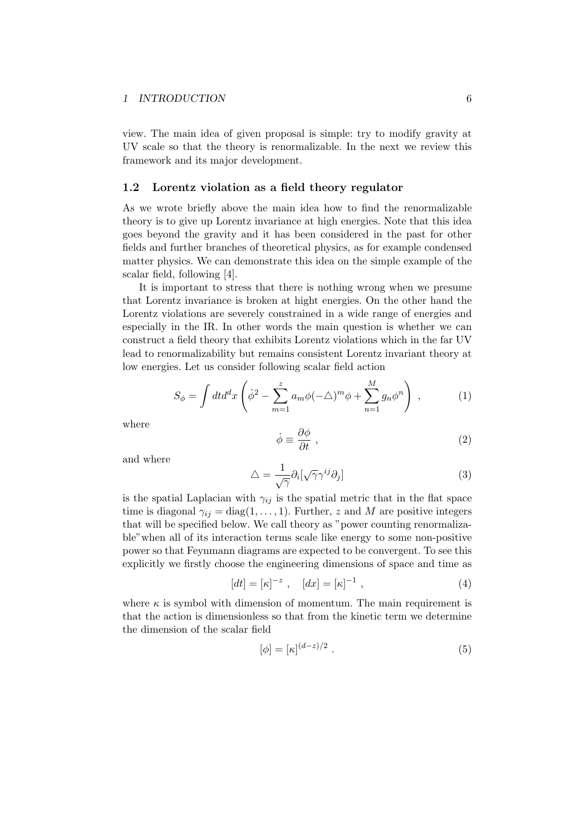view. The main idea of given proposal is simple: try to modify gravity at UV scale so that the theory is renormalizable. In the next we review this framework and its major development.

#### **1.2 Lorentz violation as a field theory regulator**

As we wrote briefly above the main idea how to find the renormalizable theory is to give up Lorentz invariance at high energies. Note that this idea goes beyond the gravity and it has been considered in the past for other fields and further branches of theoretical physics, as for example condensed matter physics. We can demonstrate this idea on the simple example of the scalar field, following [4].

It is important to stress that there is nothing wrong when we presume that Lorentz invariance is broken at hight energies. On the other hand the Lorentz violations are severely constrained in a wide range of energies and especially in the IR. In other words the main question is whether we can construct a field theory that exhibits Lorentz violations which in the far UV lead to renormalizability but remains consistent Lorentz invariant theory at low energies. Let us consider following scalar field action

$$
S_{\phi} = \int dt d^d x \left( \dot{\phi}^2 - \sum_{m=1}^{z} a_m \phi (-\triangle)^m \phi + \sum_{n=1}^{M} g_n \phi^n \right) , \qquad (1)
$$

where

$$
\dot{\phi} \equiv \frac{\partial \phi}{\partial t} \,, \tag{2}
$$

and where

$$
\Delta = \frac{1}{\sqrt{\gamma}} \partial_i [\sqrt{\gamma} \gamma^{ij} \partial_j]
$$
\n(3)

is the spatial Laplacian with  $\gamma_{ij}$  is the spatial metric that in the flat space time is diagonal  $\gamma_{ij} = \text{diag}(1, \ldots, 1)$ . Further, *z* and *M* are positive integers that will be specified below. We call theory as "power counting renormalizable"when all of its interaction terms scale like energy to some non-positive power so that Feynmann diagrams are expected to be convergent. To see this explicitly we firstly choose the engineering dimensions of space and time as

$$
[dt] = [\kappa]^{-z} , \quad [dx] = [\kappa]^{-1} , \tag{4}
$$

where  $\kappa$  is symbol with dimension of momentum. The main requirement is that the action is dimensionless so that from the kinetic term we determine the dimension of the scalar field

$$
[\phi] = [\kappa]^{(d-z)/2} . \tag{5}
$$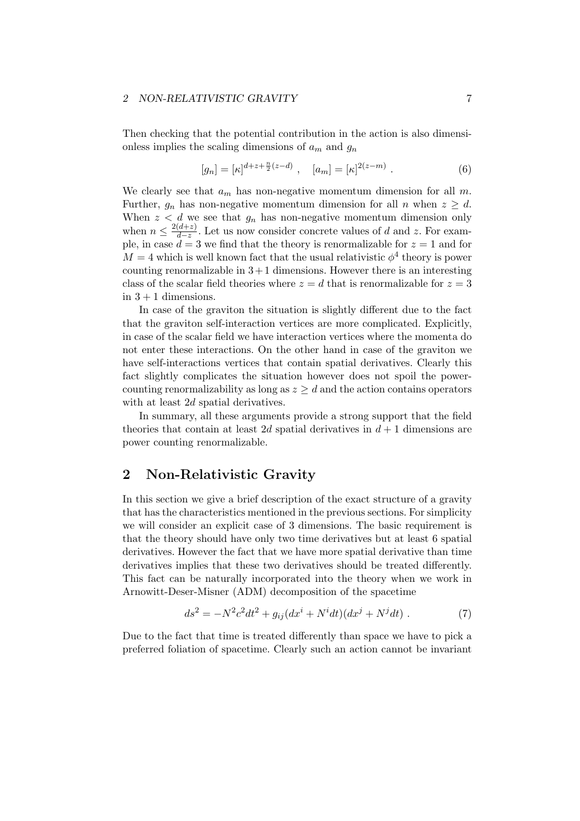#### *2 NON-RELATIVISTIC GRAVITY* 7

Then checking that the potential contribution in the action is also dimensionless implies the scaling dimensions of *a<sup>m</sup>* and *g<sup>n</sup>*

$$
[g_n] = [\kappa]^{d+z+\frac{n}{2}(z-d)}, \quad [a_m] = [\kappa]^{2(z-m)}.
$$
 (6)

We clearly see that  $a_m$  has non-negative momentum dimension for all  $m$ . Further,  $q_n$  has non-negative momentum dimension for all *n* when  $z \geq d$ . When  $z < d$  we see that  $g_n$  has non-negative momentum dimension only when  $n \leq \frac{2(d+z)}{d-z}$  $\frac{d+2j}{d-z}$ . Let us now consider concrete values of *d* and *z*. For example, in case  $d = 3$  we find that the theory is renormalizable for  $z = 1$  and for  $M = 4$  which is well known fact that the usual relativistic  $\phi^4$  theory is power counting renormalizable in  $3+1$  dimensions. However there is an interesting class of the scalar field theories where  $z = d$  that is renormalizable for  $z = 3$ in  $3 + 1$  dimensions.

In case of the graviton the situation is slightly different due to the fact that the graviton self-interaction vertices are more complicated. Explicitly, in case of the scalar field we have interaction vertices where the momenta do not enter these interactions. On the other hand in case of the graviton we have self-interactions vertices that contain spatial derivatives. Clearly this fact slightly complicates the situation however does not spoil the powercounting renormalizability as long as  $z \geq d$  and the action contains operators with at least 2*d* spatial derivatives.

In summary, all these arguments provide a strong support that the field theories that contain at least 2*d* spatial derivatives in  $d+1$  dimensions are power counting renormalizable.

### **2 Non-Relativistic Gravity**

In this section we give a brief description of the exact structure of a gravity that has the characteristics mentioned in the previous sections. For simplicity we will consider an explicit case of 3 dimensions. The basic requirement is that the theory should have only two time derivatives but at least 6 spatial derivatives. However the fact that we have more spatial derivative than time derivatives implies that these two derivatives should be treated differently. This fact can be naturally incorporated into the theory when we work in Arnowitt-Deser-Misner (ADM) decomposition of the spacetime

$$
ds^{2} = -N^{2}c^{2}dt^{2} + g_{ij}(dx^{i} + N^{i}dt)(dx^{j} + N^{j}dt).
$$
 (7)

Due to the fact that time is treated differently than space we have to pick a preferred foliation of spacetime. Clearly such an action cannot be invariant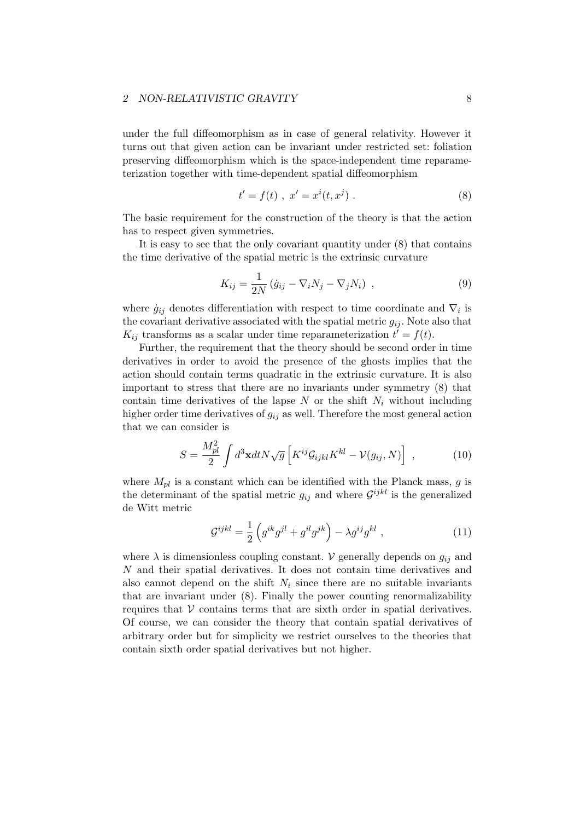#### *2 NON-RELATIVISTIC GRAVITY* 8

under the full diffeomorphism as in case of general relativity. However it turns out that given action can be invariant under restricted set: foliation preserving diffeomorphism which is the space-independent time reparameterization together with time-dependent spatial diffeomorphism

$$
t' = f(t) , x' = x^{i}(t, x^{j}).
$$
\n(8)

The basic requirement for the construction of the theory is that the action has to respect given symmetries.

It is easy to see that the only covariant quantity under (8) that contains the time derivative of the spatial metric is the extrinsic curvature

$$
K_{ij} = \frac{1}{2N} \left( \dot{g}_{ij} - \nabla_i N_j - \nabla_j N_i \right) , \qquad (9)
$$

where  $\dot{g}_{ij}$  denotes differentiation with respect to time coordinate and  $\nabla_i$  is the covariant derivative associated with the spatial metric  $g_{ij}$ . Note also that  $K_{ij}$  transforms as a scalar under time reparameterization  $t' = f(t)$ .

Further, the requirement that the theory should be second order in time derivatives in order to avoid the presence of the ghosts implies that the action should contain terms quadratic in the extrinsic curvature. It is also important to stress that there are no invariants under symmetry (8) that contain time derivatives of the lapse  $N$  or the shift  $N_i$  without including higher order time derivatives of  $g_{ij}$  as well. Therefore the most general action that we can consider is

$$
S = \frac{M_{pl}^2}{2} \int d^3 \mathbf{x} dt N \sqrt{g} \left[ K^{ij} \mathcal{G}_{ijkl} K^{kl} - \mathcal{V}(g_{ij}, N) \right] , \qquad (10)
$$

where  $M_{pl}$  is a constant which can be identified with the Planck mass,  $g$  is the determinant of the spatial metric  $g_{ij}$  and where  $\mathcal{G}^{ijkl}$  is the generalized de Witt metric

$$
\mathcal{G}^{ijkl} = \frac{1}{2} \left( g^{ik} g^{jl} + g^{il} g^{jk} \right) - \lambda g^{ij} g^{kl} , \qquad (11)
$$

where  $\lambda$  is dimensionless coupling constant. *V* generally depends on  $g_{ij}$  and *N* and their spatial derivatives. It does not contain time derivatives and also cannot depend on the shift  $N_i$  since there are no suitable invariants that are invariant under (8). Finally the power counting renormalizability requires that  $V$  contains terms that are sixth order in spatial derivatives. Of course, we can consider the theory that contain spatial derivatives of arbitrary order but for simplicity we restrict ourselves to the theories that contain sixth order spatial derivatives but not higher.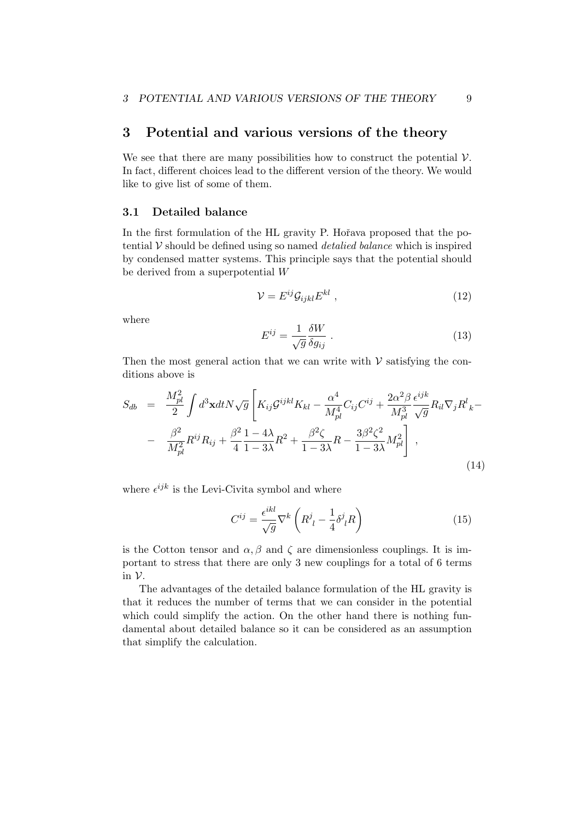### **3 Potential and various versions of the theory**

We see that there are many possibilities how to construct the potential *V*. In fact, different choices lead to the different version of the theory. We would like to give list of some of them.

#### **3.1 Detailed balance**

In the first formulation of the HL gravity P. Hořava proposed that the potential *V* should be defined using so named *detalied balance* which is inspired by condensed matter systems. This principle says that the potential should be derived from a superpotential *W*

$$
\mathcal{V} = E^{ij} \mathcal{G}_{ijkl} E^{kl} \t{,} \t(12)
$$

where

$$
E^{ij} = \frac{1}{\sqrt{g}} \frac{\delta W}{\delta g_{ij}} \tag{13}
$$

Then the most general action that we can write with  $V$  satisfying the conditions above is

$$
S_{db} = \frac{M_{pl}^2}{2} \int d^3 \mathbf{x} dt N \sqrt{g} \left[ K_{ij} \mathcal{G}^{ijkl} K_{kl} - \frac{\alpha^4}{M_{pl}^4} C_{ij} C^{ij} + \frac{2\alpha^2 \beta}{M_{pl}^3} \frac{\epsilon^{ijk}}{\sqrt{g}} R_{il} \nabla_j R^l_{k} - \right. \\ - \frac{\beta^2}{M_{pl}^2} R^{ij} R_{ij} + \frac{\beta^2}{4} \frac{1 - 4\lambda}{1 - 3\lambda} R^2 + \frac{\beta^2 \zeta}{1 - 3\lambda} R - \frac{3\beta^2 \zeta^2}{1 - 3\lambda} M_{pl}^2 \right], \tag{14}
$$

where  $\epsilon^{ijk}$  is the Levi-Civita symbol and where

$$
C^{ij} = \frac{\epsilon^{ikl}}{\sqrt{g}} \nabla^k \left( R^j_{\ l} - \frac{1}{4} \delta^j_{\ l} R \right) \tag{15}
$$

is the Cotton tensor and  $\alpha$ ,  $\beta$  and  $\zeta$  are dimensionless couplings. It is important to stress that there are only 3 new couplings for a total of 6 terms in *V*.

The advantages of the detailed balance formulation of the HL gravity is that it reduces the number of terms that we can consider in the potential which could simplify the action. On the other hand there is nothing fundamental about detailed balance so it can be considered as an assumption that simplify the calculation.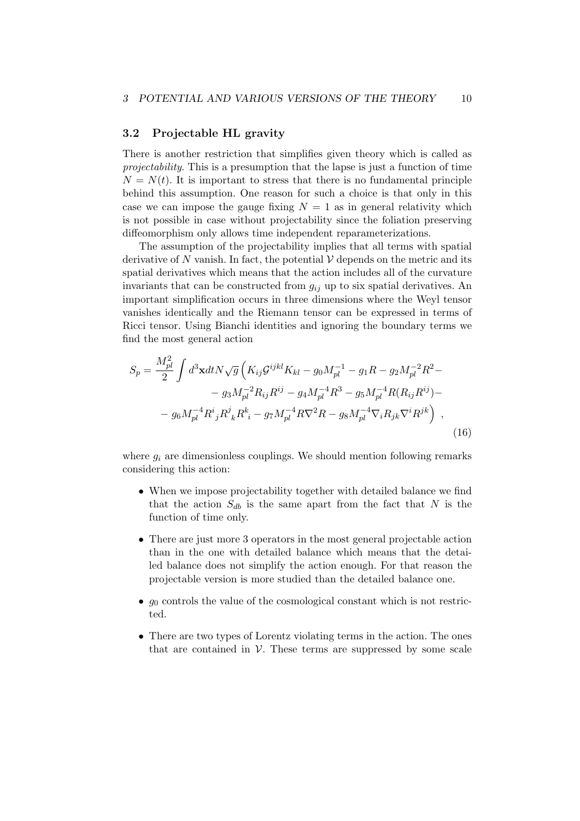#### **3.2 Projectable HL gravity**

There is another restriction that simplifies given theory which is called as *projectability*. This is a presumption that the lapse is just a function of time  $N = N(t)$ . It is important to stress that there is no fundamental principle behind this assumption. One reason for such a choice is that only in this case we can impose the gauge fixing  $N = 1$  as in general relativity which is not possible in case without projectability since the foliation preserving diffeomorphism only allows time independent reparameterizations.

The assumption of the projectability implies that all terms with spatial derivative of N vanish. In fact, the potential  $V$  depends on the metric and its spatial derivatives which means that the action includes all of the curvature invariants that can be constructed from *gij* up to six spatial derivatives. An important simplification occurs in three dimensions where the Weyl tensor vanishes identically and the Riemann tensor can be expressed in terms of Ricci tensor. Using Bianchi identities and ignoring the boundary terms we find the most general action

$$
S_p = \frac{M_{pl}^2}{2} \int d^3 \mathbf{x} dt N \sqrt{g} \left( K_{ij} \mathcal{G}^{ijkl} K_{kl} - g_0 M_{pl}^{-1} - g_1 R - g_2 M_{pl}^{-2} R^2 - g_3 M_{pl}^{-2} R_{ij} R^{ij} - g_4 M_{pl}^{-4} R^3 - g_5 M_{pl}^{-4} R (R_{ij} R^{ij}) - g_6 M_{pl}^{-4} R^i{}_j R^j{}_k R^k{}_i - g_7 M_{pl}^{-4} R \nabla^2 R - g_8 M_{pl}^{-4} \nabla_i R_{jk} \nabla^i R^{jk} \right) ,
$$
\n(16)

where  $g_i$  are dimensionless couplings. We should mention following remarks considering this action:

- When we impose projectability together with detailed balance we find that the action  $S_{db}$  is the same apart from the fact that  $N$  is the function of time only.
- There are just more 3 operators in the most general projectable action than in the one with detailed balance which means that the detailed balance does not simplify the action enough. For that reason the projectable version is more studied than the detailed balance one.
- $g_0$  controls the value of the cosmological constant which is not restricted.
- There are two types of Lorentz violating terms in the action. The ones that are contained in  $V$ . These terms are suppressed by some scale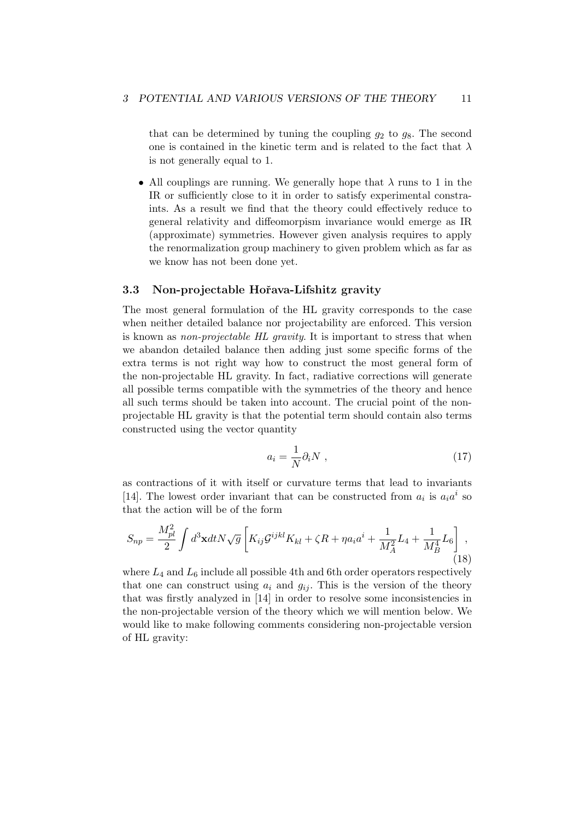that can be determined by tuning the coupling  $g_2$  to  $g_8$ . The second one is contained in the kinetic term and is related to the fact that  $\lambda$ is not generally equal to 1.

*•* All couplings are running. We generally hope that *λ* runs to 1 in the IR or sufficiently close to it in order to satisfy experimental constraints. As a result we find that the theory could effectively reduce to general relativity and diffeomorpism invariance would emerge as IR (approximate) symmetries. However given analysis requires to apply the renormalization group machinery to given problem which as far as we know has not been done yet.

#### **3.3 Non-projectable Hoˇrava-Lifshitz gravity**

The most general formulation of the HL gravity corresponds to the case when neither detailed balance nor projectability are enforced. This version is known as *non-projectable HL gravity*. It is important to stress that when we abandon detailed balance then adding just some specific forms of the extra terms is not right way how to construct the most general form of the non-projectable HL gravity. In fact, radiative corrections will generate all possible terms compatible with the symmetries of the theory and hence all such terms should be taken into account. The crucial point of the nonprojectable HL gravity is that the potential term should contain also terms constructed using the vector quantity

$$
a_i = \frac{1}{N} \partial_i N \t{17}
$$

as contractions of it with itself or curvature terms that lead to invariants [14]. The lowest order invariant that can be constructed from  $a_i$  is  $a_i a^i$  so that the action will be of the form

$$
S_{np} = \frac{M_{pl}^2}{2} \int d^3 \mathbf{x} dt N \sqrt{g} \left[ K_{ij} \mathcal{G}^{ijkl} K_{kl} + \zeta R + \eta a_i a^i + \frac{1}{M_A^2} L_4 + \frac{1}{M_B^4} L_6 \right],
$$
\n(18)

where  $L_4$  and  $L_6$  include all possible 4th and 6th order operators respectively that one can construct using  $a_i$  and  $g_{ii}$ . This is the version of the theory that was firstly analyzed in [14] in order to resolve some inconsistencies in the non-projectable version of the theory which we will mention below. We would like to make following comments considering non-projectable version of HL gravity: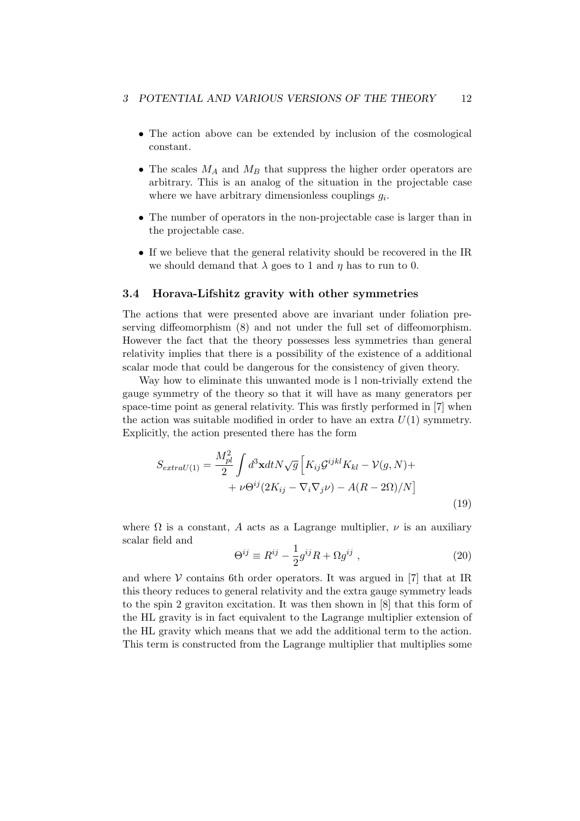- The action above can be extended by inclusion of the cosmological constant.
- *•* The scales *M<sup>A</sup>* and *M<sup>B</sup>* that suppress the higher order operators are arbitrary. This is an analog of the situation in the projectable case where we have arbitrary dimensionless couplings  $g_i$ .
- *•* The number of operators in the non-projectable case is larger than in the projectable case.
- If we believe that the general relativity should be recovered in the IR we should demand that  $\lambda$  goes to 1 and  $\eta$  has to run to 0.

#### **3.4 Horava-Lifshitz gravity with other symmetries**

The actions that were presented above are invariant under foliation preserving diffeomorphism (8) and not under the full set of diffeomorphism. However the fact that the theory possesses less symmetries than general relativity implies that there is a possibility of the existence of a additional scalar mode that could be dangerous for the consistency of given theory.

Way how to eliminate this unwanted mode is l non-trivially extend the gauge symmetry of the theory so that it will have as many generators per space-time point as general relativity. This was firstly performed in [7] when the action was suitable modified in order to have an extra  $U(1)$  symmetry. Explicitly, the action presented there has the form

$$
S_{extraU(1)} = \frac{M_{pl}^2}{2} \int d^3 \mathbf{x} dt N \sqrt{g} \left[ K_{ij} \mathcal{G}^{ijkl} K_{kl} - \mathcal{V}(g, N) + \right. \\ + \left. \nu \Theta^{ij} (2K_{ij} - \nabla_i \nabla_j \nu) - A(R - 2\Omega)/N \right] \tag{19}
$$

where  $\Omega$  is a constant, A acts as a Lagrange multiplier,  $\nu$  is an auxiliary scalar field and

$$
\Theta^{ij} \equiv R^{ij} - \frac{1}{2}g^{ij}R + \Omega g^{ij} \;, \tag{20}
$$

and where  $V$  contains 6th order operators. It was argued in [7] that at IR this theory reduces to general relativity and the extra gauge symmetry leads to the spin 2 graviton excitation. It was then shown in [8] that this form of the HL gravity is in fact equivalent to the Lagrange multiplier extension of the HL gravity which means that we add the additional term to the action. This term is constructed from the Lagrange multiplier that multiplies some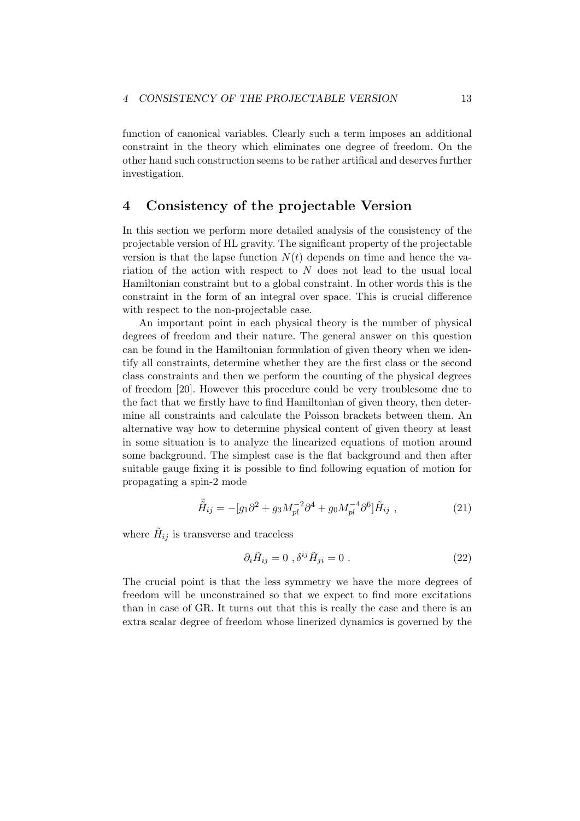function of canonical variables. Clearly such a term imposes an additional constraint in the theory which eliminates one degree of freedom. On the other hand such construction seems to be rather artifical and deserves further investigation.

### **4 Consistency of the projectable Version**

In this section we perform more detailed analysis of the consistency of the projectable version of HL gravity. The significant property of the projectable version is that the lapse function  $N(t)$  depends on time and hence the variation of the action with respect to *N* does not lead to the usual local Hamiltonian constraint but to a global constraint. In other words this is the constraint in the form of an integral over space. This is crucial difference with respect to the non-projectable case.

An important point in each physical theory is the number of physical degrees of freedom and their nature. The general answer on this question can be found in the Hamiltonian formulation of given theory when we identify all constraints, determine whether they are the first class or the second class constraints and then we perform the counting of the physical degrees of freedom [20]. However this procedure could be very troublesome due to the fact that we firstly have to find Hamiltonian of given theory, then determine all constraints and calculate the Poisson brackets between them. An alternative way how to determine physical content of given theory at least in some situation is to analyze the linearized equations of motion around some background. The simplest case is the flat background and then after suitable gauge fixing it is possible to find following equation of motion for propagating a spin-2 mode

$$
\ddot{\tilde{H}}_{ij} = -[g_1 \partial^2 + g_3 M_{pl}^{-2} \partial^4 + g_0 M_{pl}^{-4} \partial^6] \tilde{H}_{ij} , \qquad (21)
$$

where  $H_{ij}$  is transverse and traceless

$$
\partial_i \tilde{H}_{ij} = 0 \ , \delta^{ij} \tilde{H}_{ji} = 0 \ . \tag{22}
$$

The crucial point is that the less symmetry we have the more degrees of freedom will be unconstrained so that we expect to find more excitations than in case of GR. It turns out that this is really the case and there is an extra scalar degree of freedom whose linerized dynamics is governed by the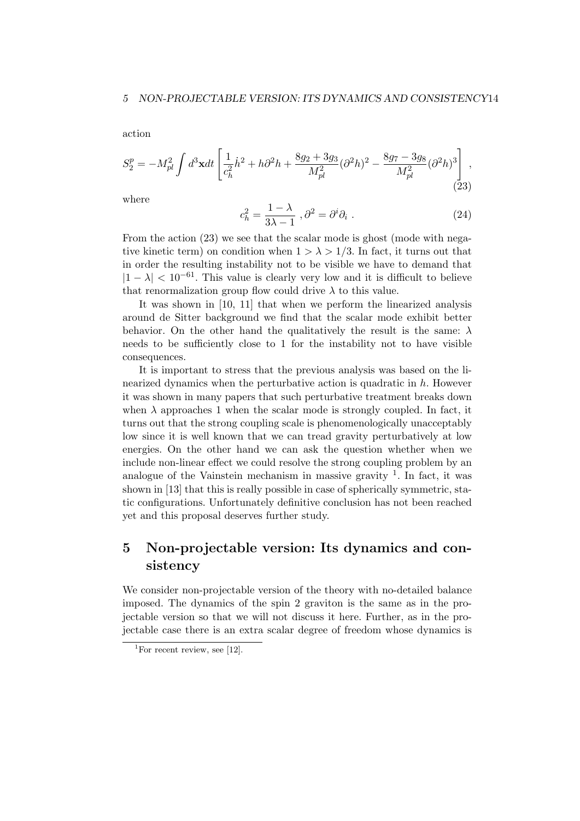action

$$
S_2^p = -M_{pl}^2 \int d^3 \mathbf{x} dt \left[ \frac{1}{c_h^2} \dot{h}^2 + h \partial^2 h + \frac{8g_2 + 3g_3}{M_{pl}^2} (\partial^2 h)^2 - \frac{8g_7 - 3g_8}{M_{pl}^2} (\partial^2 h)^3 \right],
$$
\n(23)

where

$$
c_h^2 = \frac{1 - \lambda}{3\lambda - 1}, \partial^2 = \partial^i \partial_i.
$$
 (24)

From the action (23) we see that the scalar mode is ghost (mode with negative kinetic term) on condition when  $1 > \lambda > 1/3$ . In fact, it turns out that in order the resulting instability not to be visible we have to demand that  $|1 - \lambda| < 10^{-61}$ . This value is clearly very low and it is difficult to believe that renormalization group flow could drive  $\lambda$  to this value.

It was shown in [10, 11] that when we perform the linearized analysis around de Sitter background we find that the scalar mode exhibit better behavior. On the other hand the qualitatively the result is the same: *λ* needs to be sufficiently close to 1 for the instability not to have visible consequences.

It is important to stress that the previous analysis was based on the linearized dynamics when the perturbative action is quadratic in *h*. However it was shown in many papers that such perturbative treatment breaks down when  $\lambda$  approaches 1 when the scalar mode is strongly coupled. In fact, it turns out that the strong coupling scale is phenomenologically unacceptably low since it is well known that we can tread gravity perturbatively at low energies. On the other hand we can ask the question whether when we include non-linear effect we could resolve the strong coupling problem by an analogue of the Vainstein mechanism in massive gravity  $1$ . In fact, it was shown in [13] that this is really possible in case of spherically symmetric, static configurations. Unfortunately definitive conclusion has not been reached yet and this proposal deserves further study.

# **5 Non-projectable version: Its dynamics and consistency**

We consider non-projectable version of the theory with no-detailed balance imposed. The dynamics of the spin 2 graviton is the same as in the projectable version so that we will not discuss it here. Further, as in the projectable case there is an extra scalar degree of freedom whose dynamics is

<sup>&</sup>lt;sup>1</sup>For recent review, see [12].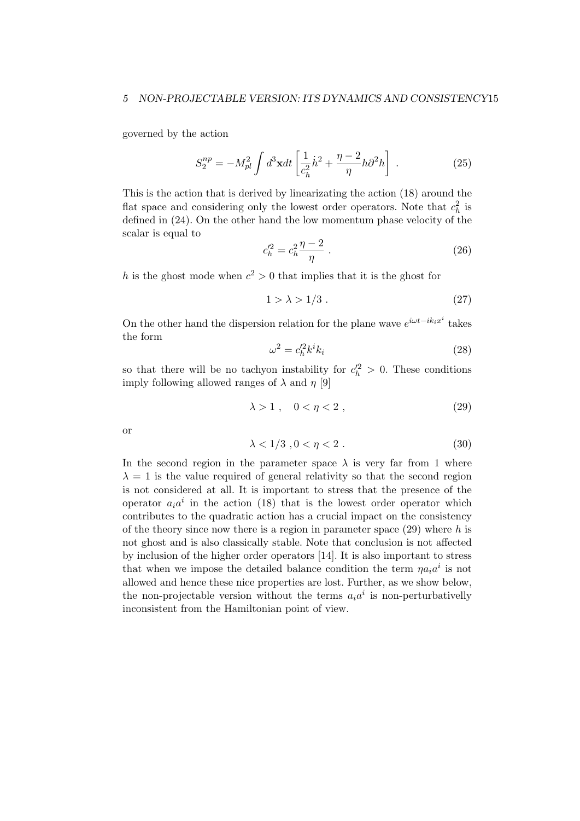#### *5 NON-PROJECTABLE VERSION: ITS DYNAMICS AND CONSISTENCY*15

governed by the action

$$
S_2^{np} = -M_{pl}^2 \int d^3 \mathbf{x} dt \left[ \frac{1}{c_h^2} \dot{h}^2 + \frac{\eta - 2}{\eta} h \partial^2 h \right] . \tag{25}
$$

This is the action that is derived by linearizating the action (18) around the flat space and considering only the lowest order operators. Note that  $c_h^2$  is defined in (24). On the other hand the low momentum phase velocity of the scalar is equal to

$$
c_h^{\prime 2} = c_h^2 \frac{\eta - 2}{\eta} \ . \tag{26}
$$

*h* is the ghost mode when  $c^2 > 0$  that implies that it is the ghost for

$$
1 > \lambda > 1/3.
$$
\n<sup>(27)</sup>

On the other hand the dispersion relation for the plane wave  $e^{i\omega t - ik_i x^i}$  takes the form

$$
\omega^2 = c_h'^2 k^i k_i \tag{28}
$$

so that there will be no tachyon instability for  $c_h^2 > 0$ . These conditions imply following allowed ranges of  $\lambda$  and  $\eta$  [9]

$$
\lambda > 1 \,, \quad 0 < \eta < 2 \,, \tag{29}
$$

or

$$
\lambda < 1/3 \,, 0 < \eta < 2 \,. \tag{30}
$$

In the second region in the parameter space  $\lambda$  is very far from 1 where  $\lambda = 1$  is the value required of general relativity so that the second region is not considered at all. It is important to stress that the presence of the operator  $a_i a^i$  in the action (18) that is the lowest order operator which contributes to the quadratic action has a crucial impact on the consistency of the theory since now there is a region in parameter space (29) where *h* is not ghost and is also classically stable. Note that conclusion is not affected by inclusion of the higher order operators [14]. It is also important to stress that when we impose the detailed balance condition the term  $\eta a_i a^i$  is not allowed and hence these nice properties are lost. Further, as we show below, the non-projectable version without the terms  $a_i a^i$  is non-perturbativelly inconsistent from the Hamiltonian point of view.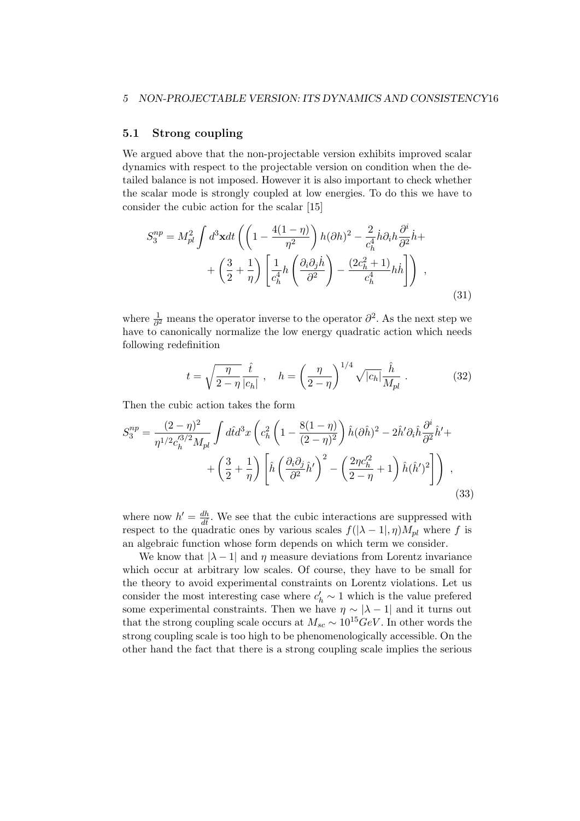#### **5.1 Strong coupling**

We argued above that the non-projectable version exhibits improved scalar dynamics with respect to the projectable version on condition when the detailed balance is not imposed. However it is also important to check whether the scalar mode is strongly coupled at low energies. To do this we have to consider the cubic action for the scalar [15]

$$
S_3^{np} = M_{pl}^2 \int d^3 \mathbf{x} dt \left( \left( 1 - \frac{4(1-\eta)}{\eta^2} \right) h(\partial h)^2 - \frac{2}{c_h^4} \dot{h} \partial_i h \frac{\partial^i}{\partial^2} \dot{h} + \left( \frac{3}{2} + \frac{1}{\eta} \right) \left[ \frac{1}{c_h^4} h \left( \frac{\partial_i \partial_j \dot{h}}{\partial^2} \right) - \frac{(2c_h^2 + 1)}{c_h^4} h \dot{h} \right] \right) ,
$$
\n(31)

where  $\frac{1}{\partial^2}$  means the operator inverse to the operator  $\partial^2$ . As the next step we have to canonically normalize the low energy quadratic action which needs following redefinition

$$
t = \sqrt{\frac{\eta}{2-\eta}} \frac{\hat{t}}{|c_h|}, \quad h = \left(\frac{\eta}{2-\eta}\right)^{1/4} \sqrt{|c_h|} \frac{\hat{h}}{M_{pl}}.
$$
 (32)

Then the cubic action takes the form

$$
S_3^{np} = \frac{(2-\eta)^2}{\eta^{1/2} c_h^{3/2} M_{pl}} \int d\hat{t} d^3x \left( c_h^2 \left( 1 - \frac{8(1-\eta)}{(2-\eta)^2} \right) \hat{h} (\partial \hat{h})^2 - 2\hat{h}' \partial_i \hat{h} \frac{\partial^i}{\partial^2} \hat{h}' + \left( \frac{3}{2} + \frac{1}{\eta} \right) \left[ \hat{h} \left( \frac{\partial_i \partial_j}{\partial^2} \hat{h}' \right)^2 - \left( \frac{2\eta c_h'^2}{2-\eta} + 1 \right) \hat{h} (\hat{h}')^2 \right] \right) ,
$$
\n(33)

where now  $h' = \frac{dh}{dt}$ . We see that the cubic interactions are suppressed with respect to the quadratic ones by various scales  $f(|\lambda - 1|, \eta)M_{pl}$  where f is an algebraic function whose form depends on which term we consider.

We know that  $|\lambda - 1|$  and  $\eta$  measure deviations from Lorentz invariance which occur at arbitrary low scales. Of course, they have to be small for the theory to avoid experimental constraints on Lorentz violations. Let us consider the most interesting case where  $c'_{h} \sim 1$  which is the value prefered some experimental constraints. Then we have  $\eta \sim |\lambda - 1|$  and it turns out that the strong coupling scale occurs at  $M_{sc} \sim 10^{15} GeV$ . In other words the strong coupling scale is too high to be phenomenologically accessible. On the other hand the fact that there is a strong coupling scale implies the serious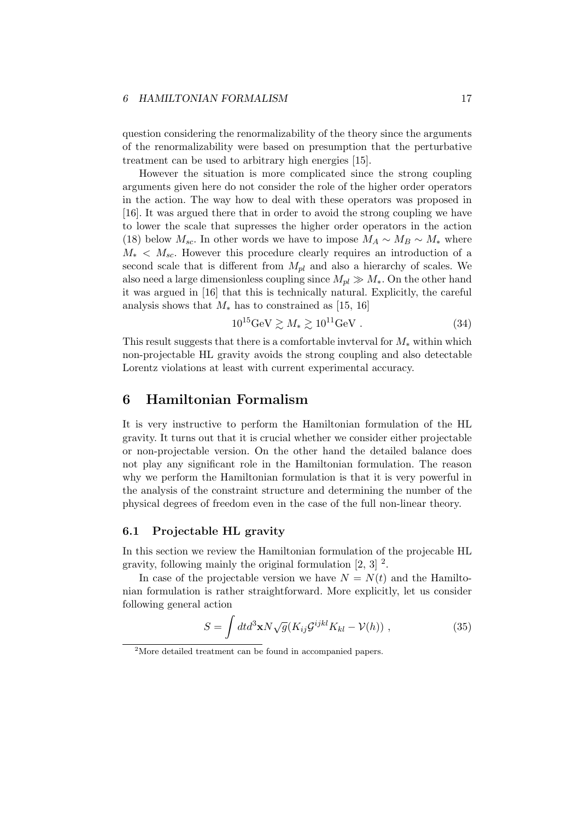question considering the renormalizability of the theory since the arguments of the renormalizability were based on presumption that the perturbative treatment can be used to arbitrary high energies [15].

However the situation is more complicated since the strong coupling arguments given here do not consider the role of the higher order operators in the action. The way how to deal with these operators was proposed in [16]. It was argued there that in order to avoid the strong coupling we have to lower the scale that supresses the higher order operators in the action (18) below  $M_{sc}$ . In other words we have to impose  $M_A \sim M_B \sim M_*$  where  $M_* < M_{sc}$ . However this procedure clearly requires an introduction of a second scale that is different from  $M_{pl}$  and also a hierarchy of scales. We also need a large dimensionless coupling since  $M_{pl} \gg M_*$ . On the other hand it was argued in [16] that this is technically natural. Explicitly, the careful analysis shows that *M<sup>∗</sup>* has to constrained as [15, 16]

$$
10^{15} \text{GeV} \gtrsim M_* \gtrsim 10^{11} \text{GeV} \ . \tag{34}
$$

This result suggests that there is a comfortable invterval for *M<sup>∗</sup>* within which non-projectable HL gravity avoids the strong coupling and also detectable Lorentz violations at least with current experimental accuracy.

### **6 Hamiltonian Formalism**

It is very instructive to perform the Hamiltonian formulation of the HL gravity. It turns out that it is crucial whether we consider either projectable or non-projectable version. On the other hand the detailed balance does not play any significant role in the Hamiltonian formulation. The reason why we perform the Hamiltonian formulation is that it is very powerful in the analysis of the constraint structure and determining the number of the physical degrees of freedom even in the case of the full non-linear theory.

#### **6.1 Projectable HL gravity**

In this section we review the Hamiltonian formulation of the projecable HL gravity, following mainly the original formulation  $[2, 3]$ <sup>2</sup>.

In case of the projectable version we have  $N = N(t)$  and the Hamiltonian formulation is rather straightforward. More explicitly, let us consider following general action

$$
S = \int dt d^3 \mathbf{x} N \sqrt{g} (K_{ij} \mathcal{G}^{ijkl} K_{kl} - \mathcal{V}(h)) , \qquad (35)
$$

<sup>&</sup>lt;sup>2</sup>More detailed treatment can be found in accompanied papers.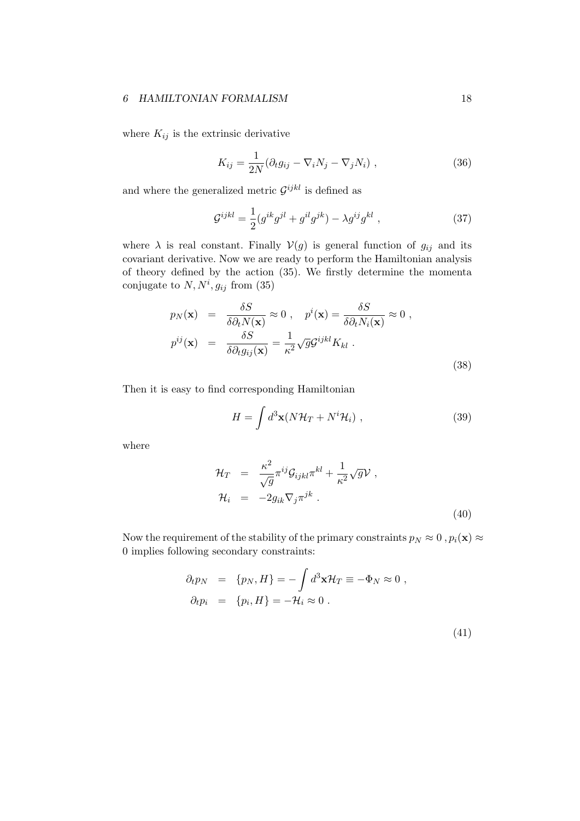where  $K_{ij}$  is the extrinsic derivative

$$
K_{ij} = \frac{1}{2N} (\partial_t g_{ij} - \nabla_i N_j - \nabla_j N_i) , \qquad (36)
$$

and where the generalized metric  $\mathcal{G}^{ijkl}$  is defined as

$$
\mathcal{G}^{ijkl} = \frac{1}{2} (g^{ik} g^{jl} + g^{il} g^{jk}) - \lambda g^{ij} g^{kl} , \qquad (37)
$$

where  $\lambda$  is real constant. Finally  $V(g)$  is general function of  $g_{ij}$  and its covariant derivative. Now we are ready to perform the Hamiltonian analysis of theory defined by the action (35). We firstly determine the momenta conjugate to  $N, N^i, g_{ij}$  from (35)

$$
p_N(\mathbf{x}) = \frac{\delta S}{\delta \partial_t N(\mathbf{x})} \approx 0 , \quad p^i(\mathbf{x}) = \frac{\delta S}{\delta \partial_t N_i(\mathbf{x})} \approx 0 ,
$$
  

$$
p^{ij}(\mathbf{x}) = \frac{\delta S}{\delta \partial_t g_{ij}(\mathbf{x})} = \frac{1}{\kappa^2} \sqrt{g} \mathcal{G}^{ijkl} K_{kl} .
$$
 (38)

Then it is easy to find corresponding Hamiltonian

$$
H = \int d^3 \mathbf{x} (N \mathcal{H}_T + N^i \mathcal{H}_i) , \qquad (39)
$$

where

$$
\mathcal{H}_T = \frac{\kappa^2}{\sqrt{g}} \pi^{ij} \mathcal{G}_{ijkl} \pi^{kl} + \frac{1}{\kappa^2} \sqrt{g} \mathcal{V} ,
$$
  

$$
\mathcal{H}_i = -2g_{ik} \nabla_j \pi^{jk} .
$$
 (40)

Now the requirement of the stability of the primary constraints  $p_N \approx 0$ ,  $p_i(\mathbf{x}) \approx$ 0 implies following secondary constraints:

$$
\partial_t p_N = \{p_N, H\} = -\int d^3 \mathbf{x} \mathcal{H}_T \equiv -\Phi_N \approx 0 ,
$$
  

$$
\partial_t p_i = \{p_i, H\} = -\mathcal{H}_i \approx 0 .
$$

(41)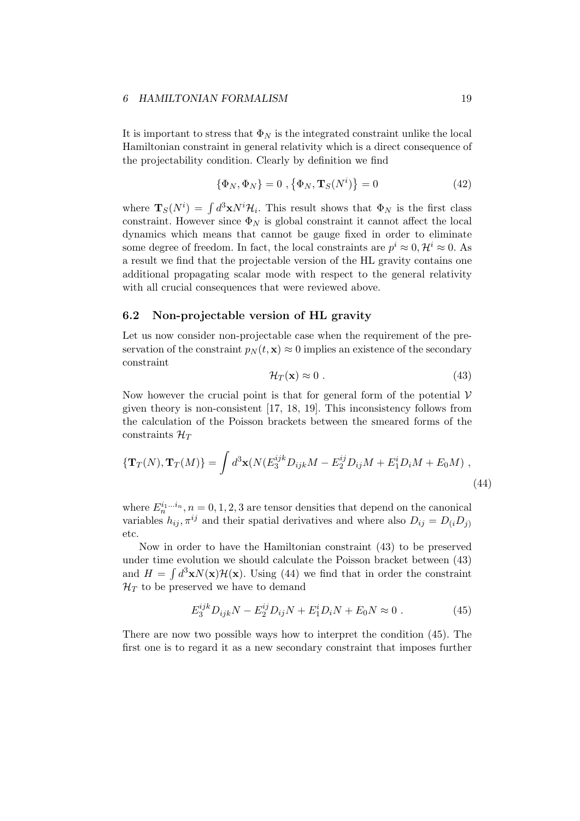It is important to stress that  $\Phi_N$  is the integrated constraint unlike the local Hamiltonian constraint in general relativity which is a direct consequence of the projectability condition. Clearly by definition we find

$$
\{\Phi_N, \Phi_N\} = 0 \ , \{\Phi_N, \mathbf{T}_S(N^i)\} = 0 \tag{42}
$$

where  $\mathbf{T}_{S}(N^{i}) = \int d^{3}x N^{i} \mathcal{H}_{i}$ . This result shows that  $\Phi_{N}$  is the first class constraint. However since  $\Phi_N$  is global constraint it cannot affect the local dynamics which means that cannot be gauge fixed in order to eliminate some degree of freedom. In fact, the local constraints are  $p^i \approx 0, \mathcal{H}^i \approx 0$ . As a result we find that the projectable version of the HL gravity contains one additional propagating scalar mode with respect to the general relativity with all crucial consequences that were reviewed above.

#### **6.2 Non-projectable version of HL gravity**

Let us now consider non-projectable case when the requirement of the preservation of the constraint  $p_N(t, \mathbf{x}) \approx 0$  implies an existence of the secondary constraint

$$
\mathcal{H}_T(\mathbf{x}) \approx 0 \tag{43}
$$

Now however the crucial point is that for general form of the potential  $V$ given theory is non-consistent [17, 18, 19]. This inconsistency follows from the calculation of the Poisson brackets between the smeared forms of the constraints *H<sup>T</sup>*

$$
\{\mathbf{T}_{T}(N),\mathbf{T}_{T}(M)\}=\int d^{3}\mathbf{x}(N(E_{3}^{ijk}D_{ijk}M-E_{2}^{ij}D_{ij}M+E_{1}^{i}D_{i}M+E_{0}M),
$$
\n(44)

where  $E_n^{i_1...i_n}$ ,  $n = 0, 1, 2, 3$  are tensor densities that depend on the canonical variables  $h_{ij}$ ,  $\pi^{ij}$  and their spatial derivatives and where also  $D_{ij} = D_{(i}D_{j)}$ etc.

Now in order to have the Hamiltonian constraint (43) to be preserved under time evolution we should calculate the Poisson bracket between (43) and  $H = \int d^3x N(x) \mathcal{H}(x)$ . Using (44) we find that in order the constraint  $\mathcal{H}_T$  to be preserved we have to demand

$$
E_3^{ijk} D_{ijk} N - E_2^{ij} D_{ij} N + E_1^i D_i N + E_0 N \approx 0.
$$
 (45)

There are now two possible ways how to interpret the condition (45). The first one is to regard it as a new secondary constraint that imposes further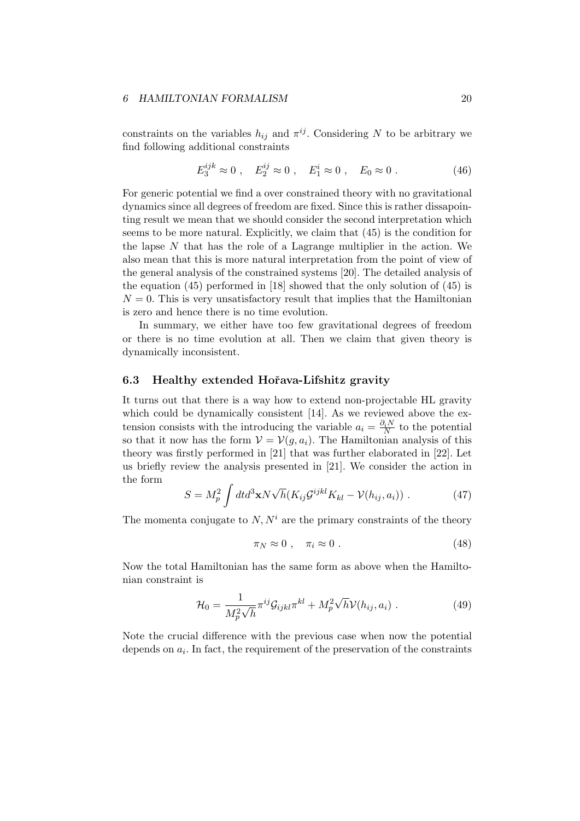constraints on the variables  $h_{ij}$  and  $\pi^{ij}$ . Considering *N* to be arbitrary we find following additional constraints

$$
E_3^{ijk} \approx 0
$$
,  $E_2^{ij} \approx 0$ ,  $E_1^i \approx 0$ ,  $E_0 \approx 0$ . (46)

For generic potential we find a over constrained theory with no gravitational dynamics since all degrees of freedom are fixed. Since this is rather dissapointing result we mean that we should consider the second interpretation which seems to be more natural. Explicitly, we claim that (45) is the condition for the lapse *N* that has the role of a Lagrange multiplier in the action. We also mean that this is more natural interpretation from the point of view of the general analysis of the constrained systems [20]. The detailed analysis of the equation (45) performed in [18] showed that the only solution of (45) is  $N = 0$ . This is very unsatisfactory result that implies that the Hamiltonian is zero and hence there is no time evolution.

In summary, we either have too few gravitational degrees of freedom or there is no time evolution at all. Then we claim that given theory is dynamically inconsistent.

#### **6.3 Healthy extended Hoˇrava-Lifshitz gravity**

It turns out that there is a way how to extend non-projectable HL gravity which could be dynamically consistent [14]. As we reviewed above the extension consists with the introducing the variable  $a_i = \frac{\partial_i N}{N}$  to the potential so that it now has the form  $V = V(g, a_i)$ . The Hamiltonian analysis of this theory was firstly performed in [21] that was further elaborated in [22]. Let us briefly review the analysis presented in [21]. We consider the action in the form

$$
S = M_p^2 \int dt d^3 \mathbf{x} N \sqrt{h} (K_{ij} \mathcal{G}^{ijkl} K_{kl} - \mathcal{V}(h_{ij}, a_i)) . \qquad (47)
$$

The momenta conjugate to  $N, N^i$  are the primary constraints of the theory

$$
\pi_N \approx 0 \; , \quad \pi_i \approx 0 \; . \tag{48}
$$

Now the total Hamiltonian has the same form as above when the Hamiltonian constraint is

$$
\mathcal{H}_0 = \frac{1}{M_p^2 \sqrt{h}} \pi^{ij} \mathcal{G}_{ijkl} \pi^{kl} + M_p^2 \sqrt{h} \mathcal{V}(h_{ij}, a_i) \tag{49}
$$

Note the crucial difference with the previous case when now the potential depends on  $a_i$ . In fact, the requirement of the preservation of the constraints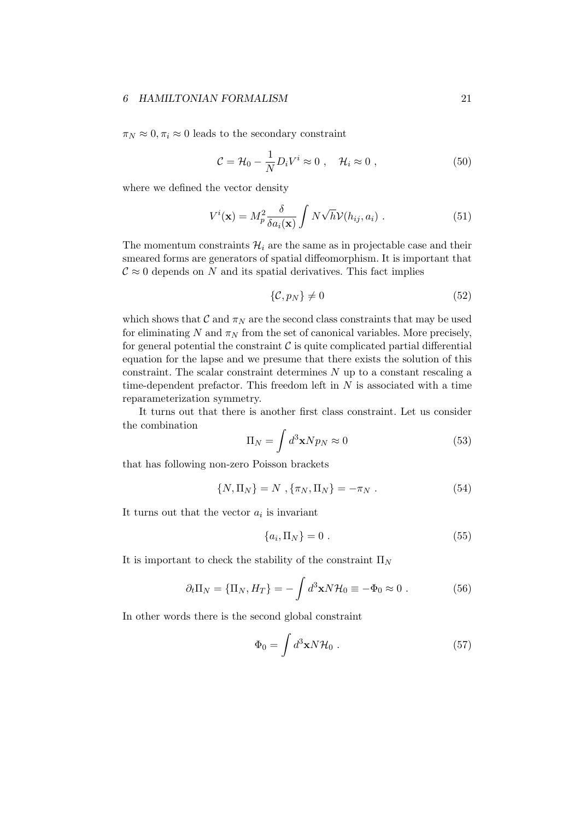$\pi_N \approx 0, \pi_i \approx 0$  leads to the secondary constraint

$$
\mathcal{C} = \mathcal{H}_0 - \frac{1}{N} D_i V^i \approx 0 \;, \quad \mathcal{H}_i \approx 0 \;, \tag{50}
$$

where we defined the vector density

$$
V^{i}(\mathbf{x}) = M_{p}^{2} \frac{\delta}{\delta a_{i}(\mathbf{x})} \int N \sqrt{h} \mathcal{V}(h_{ij}, a_{i}) . \qquad (51)
$$

The momentum constraints  $\mathcal{H}_i$  are the same as in projectable case and their smeared forms are generators of spatial diffeomorphism. It is important that  $\mathcal{C} \approx 0$  depends on *N* and its spatial derivatives. This fact implies

$$
\{\mathcal{C}, p_N\} \neq 0 \tag{52}
$$

which shows that  $\mathcal{C}$  and  $\pi_N$  are the second class constraints that may be used for eliminating  $N$  and  $\pi_N$  from the set of canonical variables. More precisely, for general potential the constraint  $C$  is quite complicated partial differential equation for the lapse and we presume that there exists the solution of this constraint. The scalar constraint determines *N* up to a constant rescaling a time-dependent prefactor. This freedom left in *N* is associated with a time reparameterization symmetry.

It turns out that there is another first class constraint. Let us consider the combination

$$
\Pi_N = \int d^3 \mathbf{x} N p_N \approx 0 \tag{53}
$$

that has following non-zero Poisson brackets

$$
\{N, \Pi_N\} = N \, , \{\pi_N, \Pi_N\} = -\pi_N \, . \tag{54}
$$

It turns out that the vector  $a_i$  is invariant

$$
\{a_i, \Pi_N\} = 0.
$$
\n<sup>(55)</sup>

It is important to check the stability of the constraint Π*<sup>N</sup>*

$$
\partial_t \Pi_N = \{ \Pi_N, H_T \} = - \int d^3 \mathbf{x} N \mathcal{H}_0 \equiv -\Phi_0 \approx 0 \ . \tag{56}
$$

In other words there is the second global constraint

$$
\Phi_0 = \int d^3 \mathbf{x} N \mathcal{H}_0 \ . \tag{57}
$$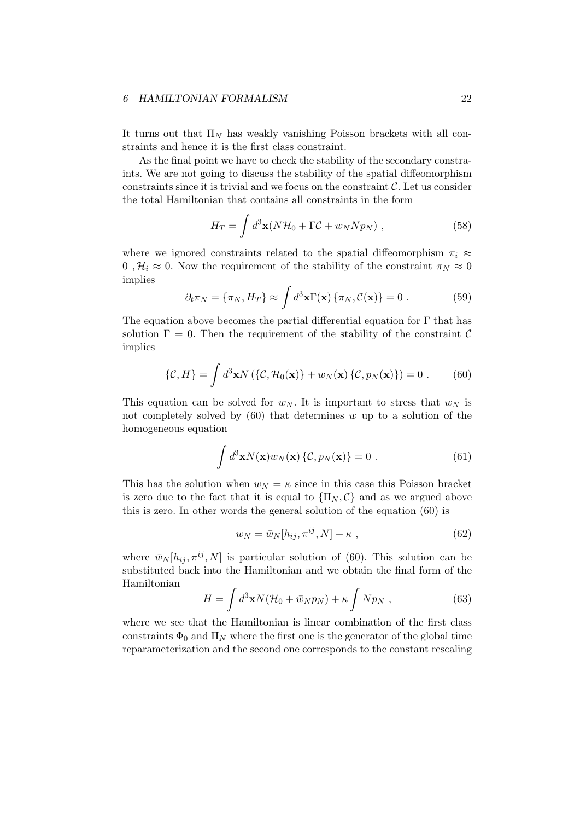It turns out that  $\Pi_N$  has weakly vanishing Poisson brackets with all constraints and hence it is the first class constraint.

As the final point we have to check the stability of the secondary constraints. We are not going to discuss the stability of the spatial diffeomorphism constraints since it is trivial and we focus on the constraint *C*. Let us consider the total Hamiltonian that contains all constraints in the form

$$
H_T = \int d^3 \mathbf{x} (N \mathcal{H}_0 + \Gamma \mathcal{C} + w_N N p_N) , \qquad (58)
$$

where we ignored constraints related to the spatial diffeomorphism  $\pi_i \approx$ 0,  $\mathcal{H}_i \approx 0$ . Now the requirement of the stability of the constraint  $\pi_N \approx 0$ implies

$$
\partial_t \pi_N = \{\pi_N, H_T\} \approx \int d^3 \mathbf{x} \Gamma(\mathbf{x}) \{\pi_N, C(\mathbf{x})\} = 0.
$$
 (59)

The equation above becomes the partial differential equation for  $\Gamma$  that has solution  $\Gamma = 0$ . Then the requirement of the stability of the constraint  $\mathcal C$ implies

$$
\{\mathcal{C}, H\} = \int d^3 \mathbf{x} N \left( \{\mathcal{C}, \mathcal{H}_0(\mathbf{x})\} + w_N(\mathbf{x}) \left\{ \mathcal{C}, p_N(\mathbf{x}) \right\} \right) = 0 \ . \tag{60}
$$

This equation can be solved for  $w_N$ . It is important to stress that  $w_N$  is not completely solved by (60) that determines *w* up to a solution of the homogeneous equation

$$
\int d^3 \mathbf{x} N(\mathbf{x}) w_N(\mathbf{x}) \{ \mathcal{C}, p_N(\mathbf{x}) \} = 0 . \qquad (61)
$$

This has the solution when  $w_N = \kappa$  since in this case this Poisson bracket is zero due to the fact that it is equal to  ${\{\Pi_N, C\}}$  and as we argued above this is zero. In other words the general solution of the equation (60) is

$$
w_N = \bar{w}_N[h_{ij}, \pi^{ij}, N] + \kappa \t{, \t(62)}
$$

where  $\bar{w}_N[h_{ij}, \pi^{ij}, N]$  is particular solution of (60). This solution can be substituted back into the Hamiltonian and we obtain the final form of the Hamiltonian

$$
H = \int d^3 \mathbf{x} N (\mathcal{H}_0 + \bar{w}_N p_N) + \kappa \int N p_N , \qquad (63)
$$

where we see that the Hamiltonian is linear combination of the first class constraints  $\Phi_0$  and  $\Pi_N$  where the first one is the generator of the global time reparameterization and the second one corresponds to the constant rescaling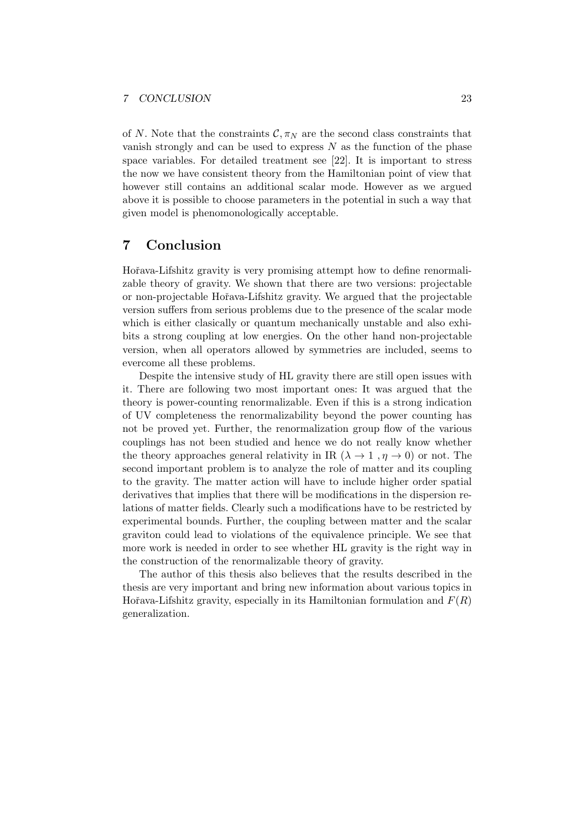of *N*. Note that the constraints  $\mathcal{C}, \pi_N$  are the second class constraints that vanish strongly and can be used to express *N* as the function of the phase space variables. For detailed treatment see [22]. It is important to stress the now we have consistent theory from the Hamiltonian point of view that however still contains an additional scalar mode. However as we argued above it is possible to choose parameters in the potential in such a way that given model is phenomonologically acceptable.

### **7 Conclusion**

Hořava-Lifshitz gravity is very promising attempt how to define renormalizable theory of gravity. We shown that there are two versions: projectable or non-projectable Hoˇrava-Lifshitz gravity. We argued that the projectable version suffers from serious problems due to the presence of the scalar mode which is either clasically or quantum mechanically unstable and also exhibits a strong coupling at low energies. On the other hand non-projectable version, when all operators allowed by symmetries are included, seems to evercome all these problems.

Despite the intensive study of HL gravity there are still open issues with it. There are following two most important ones: It was argued that the theory is power-counting renormalizable. Even if this is a strong indication of UV completeness the renormalizability beyond the power counting has not be proved yet. Further, the renormalization group flow of the various couplings has not been studied and hence we do not really know whether the theory approaches general relativity in IR  $(\lambda \rightarrow 1, \eta \rightarrow 0)$  or not. The second important problem is to analyze the role of matter and its coupling to the gravity. The matter action will have to include higher order spatial derivatives that implies that there will be modifications in the dispersion relations of matter fields. Clearly such a modifications have to be restricted by experimental bounds. Further, the coupling between matter and the scalar graviton could lead to violations of the equivalence principle. We see that more work is needed in order to see whether HL gravity is the right way in the construction of the renormalizable theory of gravity.

The author of this thesis also believes that the results described in the thesis are very important and bring new information about various topics in Hořava-Lifshitz gravity, especially in its Hamiltonian formulation and  $F(R)$ generalization.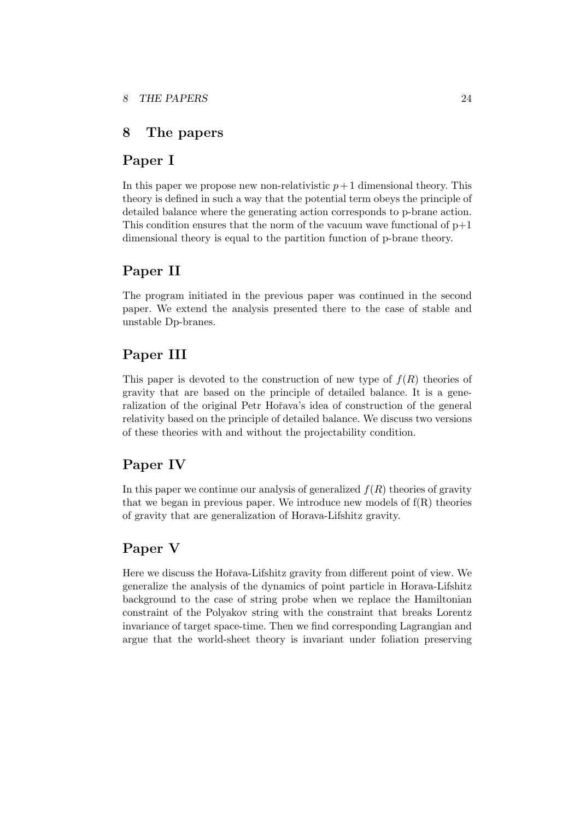### **8 The papers**

## **Paper I**

In this paper we propose new non-relativistic  $p+1$  dimensional theory. This theory is defined in such a way that the potential term obeys the principle of detailed balance where the generating action corresponds to p-brane action. This condition ensures that the norm of the vacuum wave functional of  $p+1$ dimensional theory is equal to the partition function of p-brane theory.

## **Paper II**

The program initiated in the previous paper was continued in the second paper. We extend the analysis presented there to the case of stable and unstable Dp-branes.

# **Paper III**

This paper is devoted to the construction of new type of  $f(R)$  theories of gravity that are based on the principle of detailed balance. It is a generalization of the original Petr Hořava's idea of construction of the general relativity based on the principle of detailed balance. We discuss two versions of these theories with and without the projectability condition.

# **Paper IV**

In this paper we continue our analysis of generalized *f*(*R*) theories of gravity that we began in previous paper. We introduce new models of  $f(R)$  theories of gravity that are generalization of Horava-Lifshitz gravity.

### **Paper V**

Here we discuss the Hořava-Lifshitz gravity from different point of view. We generalize the analysis of the dynamics of point particle in Horava-Lifshitz background to the case of string probe when we replace the Hamiltonian constraint of the Polyakov string with the constraint that breaks Lorentz invariance of target space-time. Then we find corresponding Lagrangian and argue that the world-sheet theory is invariant under foliation preserving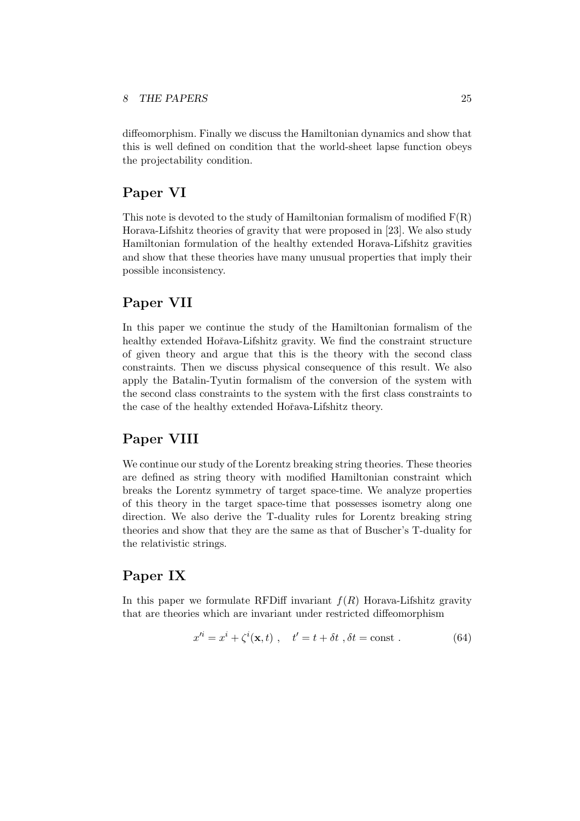diffeomorphism. Finally we discuss the Hamiltonian dynamics and show that this is well defined on condition that the world-sheet lapse function obeys the projectability condition.

## **Paper VI**

This note is devoted to the study of Hamiltonian formalism of modified  $F(R)$ Horava-Lifshitz theories of gravity that were proposed in [23]. We also study Hamiltonian formulation of the healthy extended Horava-Lifshitz gravities and show that these theories have many unusual properties that imply their possible inconsistency.

# **Paper VII**

In this paper we continue the study of the Hamiltonian formalism of the healthy extended Hořava-Lifshitz gravity. We find the constraint structure of given theory and argue that this is the theory with the second class constraints. Then we discuss physical consequence of this result. We also apply the Batalin-Tyutin formalism of the conversion of the system with the second class constraints to the system with the first class constraints to the case of the healthy extended Hoˇrava-Lifshitz theory.

# **Paper VIII**

We continue our study of the Lorentz breaking string theories. These theories are defined as string theory with modified Hamiltonian constraint which breaks the Lorentz symmetry of target space-time. We analyze properties of this theory in the target space-time that possesses isometry along one direction. We also derive the T-duality rules for Lorentz breaking string theories and show that they are the same as that of Buscher's T-duality for the relativistic strings.

# **Paper IX**

In this paper we formulate RFDiff invariant  $f(R)$  Horava-Lifshitz gravity that are theories which are invariant under restricted diffeomorphism

$$
x'^{i} = x^{i} + \zeta^{i}(\mathbf{x}, t) , \quad t' = t + \delta t , \delta t = \text{const} . \tag{64}
$$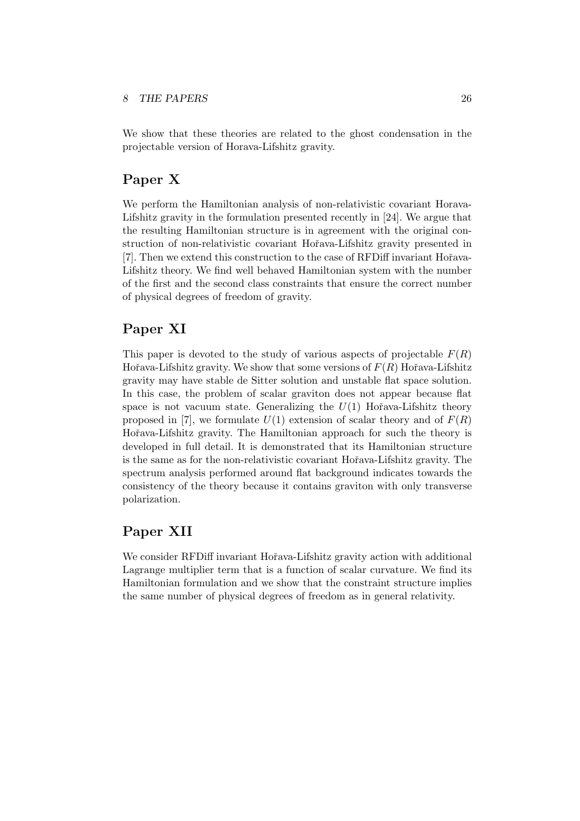#### *8 THE PAPERS* 26

We show that these theories are related to the ghost condensation in the projectable version of Horava-Lifshitz gravity.

# **Paper X**

We perform the Hamiltonian analysis of non-relativistic covariant Horava-Lifshitz gravity in the formulation presented recently in [24]. We argue that the resulting Hamiltonian structure is in agreement with the original construction of non-relativistic covariant Hoˇrava-Lifshitz gravity presented in [7]. Then we extend this construction to the case of RFDiff invariant Hořava-Lifshitz theory. We find well behaved Hamiltonian system with the number of the first and the second class constraints that ensure the correct number of physical degrees of freedom of gravity.

# **Paper XI**

This paper is devoted to the study of various aspects of projectable  $F(R)$ Hořava-Lifshitz gravity. We show that some versions of  $F(R)$  Hořava-Lifshitz gravity may have stable de Sitter solution and unstable flat space solution. In this case, the problem of scalar graviton does not appear because flat space is not vacuum state. Generalizing the  $U(1)$  Hořava-Lifshitz theory proposed in [7], we formulate  $U(1)$  extension of scalar theory and of  $F(R)$ Hořava-Lifshitz gravity. The Hamiltonian approach for such the theory is developed in full detail. It is demonstrated that its Hamiltonian structure is the same as for the non-relativistic covariant Hořava-Lifshitz gravity. The spectrum analysis performed around flat background indicates towards the consistency of the theory because it contains graviton with only transverse polarization.

# **Paper XII**

We consider RFDiff invariant Hořava-Lifshitz gravity action with additional Lagrange multiplier term that is a function of scalar curvature. We find its Hamiltonian formulation and we show that the constraint structure implies the same number of physical degrees of freedom as in general relativity.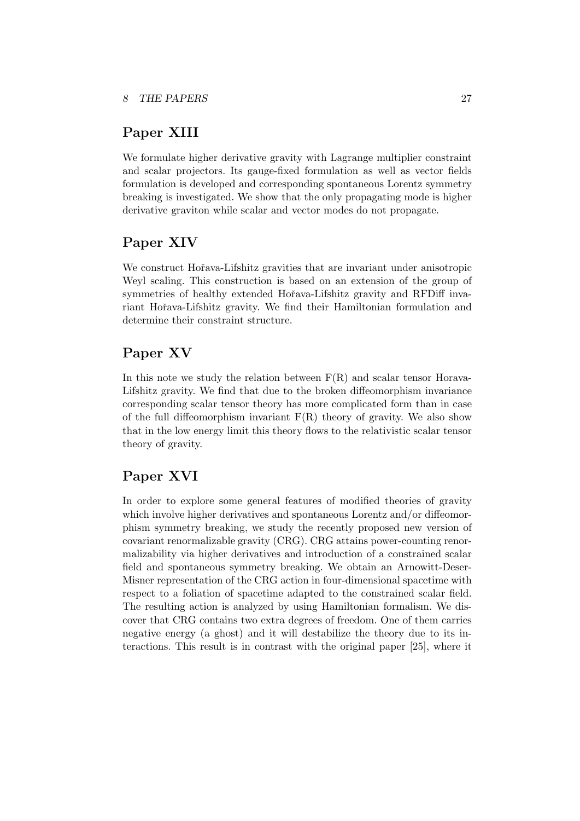# **Paper XIII**

We formulate higher derivative gravity with Lagrange multiplier constraint and scalar projectors. Its gauge-fixed formulation as well as vector fields formulation is developed and corresponding spontaneous Lorentz symmetry breaking is investigated. We show that the only propagating mode is higher derivative graviton while scalar and vector modes do not propagate.

# **Paper XIV**

We construct Hořava-Lifshitz gravities that are invariant under anisotropic Weyl scaling. This construction is based on an extension of the group of symmetries of healthy extended Hořava-Lifshitz gravity and RFDiff invariant Hořava-Lifshitz gravity. We find their Hamiltonian formulation and determine their constraint structure.

# **Paper XV**

In this note we study the relation between  $F(R)$  and scalar tensor Horava-Lifshitz gravity. We find that due to the broken diffeomorphism invariance corresponding scalar tensor theory has more complicated form than in case of the full diffeomorphism invariant  $F(R)$  theory of gravity. We also show that in the low energy limit this theory flows to the relativistic scalar tensor theory of gravity.

# **Paper XVI**

In order to explore some general features of modified theories of gravity which involve higher derivatives and spontaneous Lorentz and/or diffeomorphism symmetry breaking, we study the recently proposed new version of covariant renormalizable gravity (CRG). CRG attains power-counting renormalizability via higher derivatives and introduction of a constrained scalar field and spontaneous symmetry breaking. We obtain an Arnowitt-Deser-Misner representation of the CRG action in four-dimensional spacetime with respect to a foliation of spacetime adapted to the constrained scalar field. The resulting action is analyzed by using Hamiltonian formalism. We discover that CRG contains two extra degrees of freedom. One of them carries negative energy (a ghost) and it will destabilize the theory due to its interactions. This result is in contrast with the original paper [25], where it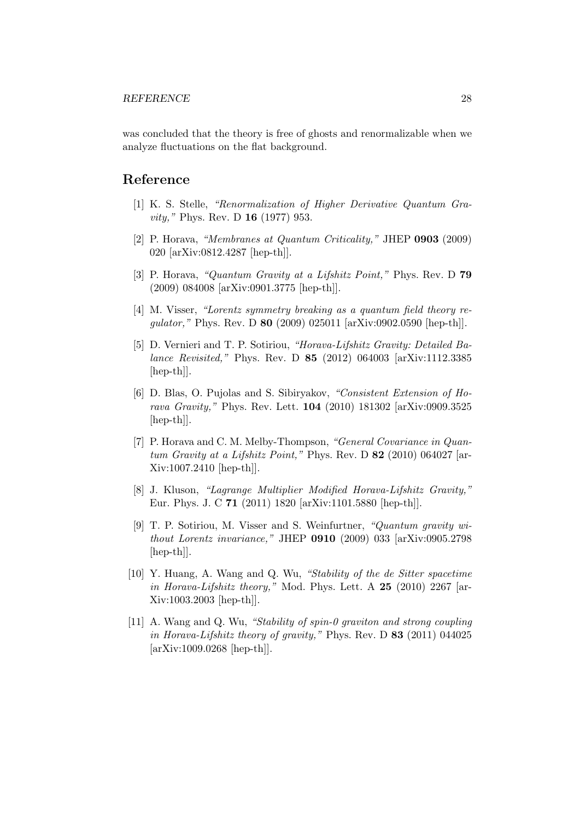was concluded that the theory is free of ghosts and renormalizable when we analyze fluctuations on the flat background.

# **Reference**

- [1] K. S. Stelle, *"Renormalization of Higher Derivative Quantum Gravity,"* Phys. Rev. D **16** (1977) 953.
- [2] P. Horava, *"Membranes at Quantum Criticality,"* JHEP **0903** (2009) 020 [arXiv:0812.4287 [hep-th]].
- [3] P. Horava, *"Quantum Gravity at a Lifshitz Point,"* Phys. Rev. D **79** (2009) 084008 [arXiv:0901.3775 [hep-th]].
- [4] M. Visser, *"Lorentz symmetry breaking as a quantum field theory regulator,"* Phys. Rev. D **80** (2009) 025011 [arXiv:0902.0590 [hep-th]].
- [5] D. Vernieri and T. P. Sotiriou, *"Horava-Lifshitz Gravity: Detailed Balance Revisited,"* Phys. Rev. D **85** (2012) 064003 [arXiv:1112.3385 [hep-th]].
- [6] D. Blas, O. Pujolas and S. Sibiryakov, *"Consistent Extension of Horava Gravity,"* Phys. Rev. Lett. **104** (2010) 181302 [arXiv:0909.3525 [hep-th]].
- [7] P. Horava and C. M. Melby-Thompson, *"General Covariance in Quantum Gravity at a Lifshitz Point,"* Phys. Rev. D **82** (2010) 064027 [ar-Xiv:1007.2410 [hep-th]].
- [8] J. Kluson, *"Lagrange Multiplier Modified Horava-Lifshitz Gravity,"* Eur. Phys. J. C **71** (2011) 1820 [arXiv:1101.5880 [hep-th]].
- [9] T. P. Sotiriou, M. Visser and S. Weinfurtner, *"Quantum gravity without Lorentz invariance,"* JHEP **0910** (2009) 033 [arXiv:0905.2798 [hep-th]].
- [10] Y. Huang, A. Wang and Q. Wu, *"Stability of the de Sitter spacetime in Horava-Lifshitz theory,"* Mod. Phys. Lett. A **25** (2010) 2267 [ar-Xiv:1003.2003 [hep-th]].
- [11] A. Wang and Q. Wu, *"Stability of spin-0 graviton and strong coupling in Horava-Lifshitz theory of gravity,"* Phys. Rev. D **83** (2011) 044025 [arXiv:1009.0268 [hep-th]].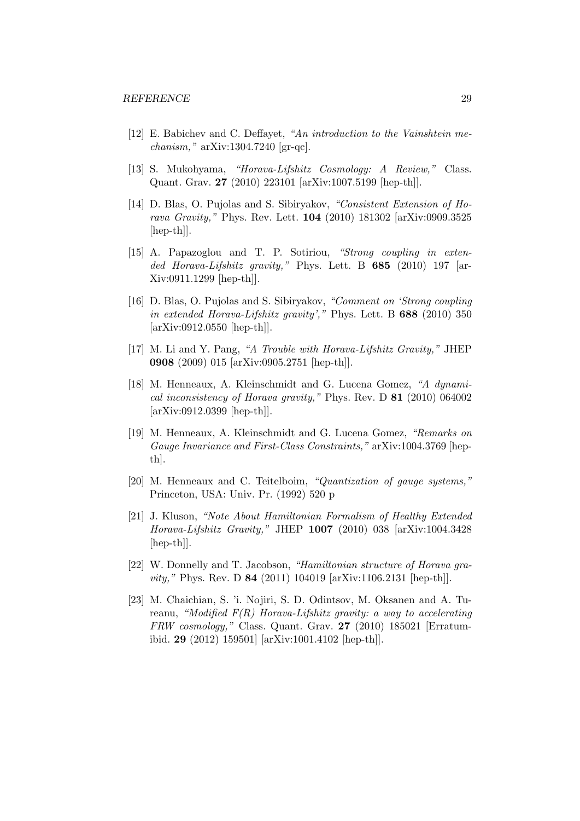- [12] E. Babichev and C. Deffayet, *"An introduction to the Vainshtein mechanism,"* arXiv:1304.7240 [gr-qc].
- [13] S. Mukohyama, *"Horava-Lifshitz Cosmology: A Review,"* Class. Quant. Grav. **27** (2010) 223101 [arXiv:1007.5199 [hep-th]].
- [14] D. Blas, O. Pujolas and S. Sibiryakov, *"Consistent Extension of Horava Gravity,"* Phys. Rev. Lett. **104** (2010) 181302 [arXiv:0909.3525 [hep-th]].
- [15] A. Papazoglou and T. P. Sotiriou, *"Strong coupling in extended Horava-Lifshitz gravity,"* Phys. Lett. B **685** (2010) 197 [ar-Xiv:0911.1299 [hep-th]].
- [16] D. Blas, O. Pujolas and S. Sibiryakov, *"Comment on 'Strong coupling in extended Horava-Lifshitz gravity',"* Phys. Lett. B **688** (2010) 350 [arXiv:0912.0550 [hep-th]].
- [17] M. Li and Y. Pang, *"A Trouble with Horava-Lifshitz Gravity,"* JHEP **0908** (2009) 015 [arXiv:0905.2751 [hep-th]].
- [18] M. Henneaux, A. Kleinschmidt and G. Lucena Gomez, *"A dynamical inconsistency of Horava gravity,"* Phys. Rev. D **81** (2010) 064002 [arXiv:0912.0399 [hep-th]].
- [19] M. Henneaux, A. Kleinschmidt and G. Lucena Gomez, *"Remarks on Gauge Invariance and First-Class Constraints,"* arXiv:1004.3769 [hepth].
- [20] M. Henneaux and C. Teitelboim, *"Quantization of gauge systems,"* Princeton, USA: Univ. Pr. (1992) 520 p
- [21] J. Kluson, *"Note About Hamiltonian Formalism of Healthy Extended Horava-Lifshitz Gravity,"* JHEP **1007** (2010) 038 [arXiv:1004.3428 [hep-th]].
- [22] W. Donnelly and T. Jacobson, *"Hamiltonian structure of Horava gravity,"* Phys. Rev. D **84** (2011) 104019 [arXiv:1106.2131 [hep-th]].
- [23] M. Chaichian, S. 'i. Nojiri, S. D. Odintsov, M. Oksanen and A. Tureanu, *"Modified F(R) Horava-Lifshitz gravity: a way to accelerating FRW cosmology,"* Class. Quant. Grav. **27** (2010) 185021 [Erratumibid. **29** (2012) 159501] [arXiv:1001.4102 [hep-th]].